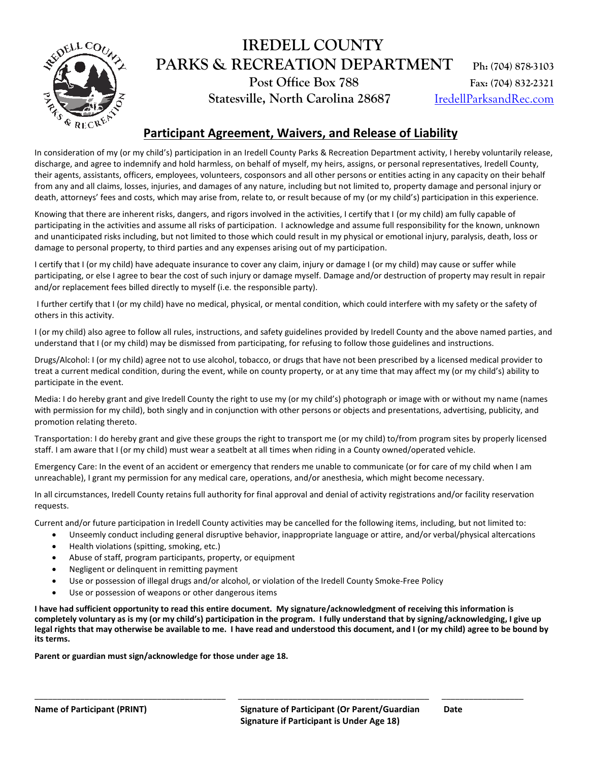

## **IREDELL COUNTY PARKS & RECREATION DEPARTMENT Ph: (704) 878-3103 Post Office Box 788 Fax: (704) 832-2321 Statesville, North Carolina 28687** [IredellParksandRec.com](http://www.co.iredell.nc.us/)

## **Participant Agreement, Waivers, and Release of Liability**

In consideration of my (or my child's) participation in an Iredell County Parks & Recreation Department activity, I hereby voluntarily release, discharge, and agree to indemnify and hold harmless, on behalf of myself, my heirs, assigns, or personal representatives, Iredell County, their agents, assistants, officers, employees, volunteers, cosponsors and all other persons or entities acting in any capacity on their behalf from any and all claims, losses, injuries, and damages of any nature, including but not limited to, property damage and personal injury or death, attorneys' fees and costs, which may arise from, relate to, or result because of my (or my child's) participation in this experience.

Knowing that there are inherent risks, dangers, and rigors involved in the activities, I certify that I (or my child) am fully capable of participating in the activities and assume all risks of participation. I acknowledge and assume full responsibility for the known, unknown and unanticipated risks including, but not limited to those which could result in my physical or emotional injury, paralysis, death, loss or damage to personal property, to third parties and any expenses arising out of my participation.

I certify that I (or my child) have adequate insurance to cover any claim, injury or damage I (or my child) may cause or suffer while participating, or else I agree to bear the cost of such injury or damage myself. Damage and/or destruction of property may result in repair and/or replacement fees billed directly to myself (i.e. the responsible party).

I further certify that I (or my child) have no medical, physical, or mental condition, which could interfere with my safety or the safety of others in this activity.

I (or my child) also agree to follow all rules, instructions, and safety guidelines provided by Iredell County and the above named parties, and understand that I (or my child) may be dismissed from participating, for refusing to follow those guidelines and instructions.

Drugs/Alcohol: I (or my child) agree not to use alcohol, tobacco, or drugs that have not been prescribed by a licensed medical provider to treat a current medical condition, during the event, while on county property, or at any time that may affect my (or my child's) ability to participate in the event.

Media: I do hereby grant and give Iredell County the right to use my (or my child's) photograph or image with or without my name (names with permission for my child), both singly and in conjunction with other persons or objects and presentations, advertising, publicity, and promotion relating thereto.

Transportation: I do hereby grant and give these groups the right to transport me (or my child) to/from program sites by properly licensed staff. I am aware that I (or my child) must wear a seatbelt at all times when riding in a County owned/operated vehicle.

Emergency Care: In the event of an accident or emergency that renders me unable to communicate (or for care of my child when I am unreachable), I grant my permission for any medical care, operations, and/or anesthesia, which might become necessary.

In all circumstances, Iredell County retains full authority for final approval and denial of activity registrations and/or facility reservation requests.

Current and/or future participation in Iredell County activities may be cancelled for the following items, including, but not limited to:

- Unseemly conduct including general disruptive behavior, inappropriate language or attire, and/or verbal/physical altercations
- Health violations (spitting, smoking, etc.)
- Abuse of staff, program participants, property, or equipment
- Negligent or delinquent in remitting payment
- Use or possession of illegal drugs and/or alcohol, or violation of the Iredell County Smoke-Free Policy
- Use or possession of weapons or other dangerous items

**I have had sufficient opportunity to read this entire document. My signature/acknowledgment of receiving this information is completely voluntary as is my (or my child's) participation in the program. I fully understand that by signing/acknowledging, I give up legal rights that may otherwise be available to me. I have read and understood this document, and I (or my child) agree to be bound by its terms.**

\_\_\_\_\_\_\_\_\_\_\_\_\_\_\_\_\_\_\_\_\_\_\_\_\_\_\_\_\_\_\_\_\_\_\_\_\_\_\_\_\_\_ \_\_\_\_\_\_\_\_\_\_\_\_\_\_\_\_\_\_\_\_\_\_\_\_\_\_\_\_\_\_\_\_\_\_\_\_\_\_\_\_\_\_ \_\_\_\_\_\_\_\_\_\_\_\_\_\_\_\_\_\_

**Parent or guardian must sign/acknowledge for those under age 18.**